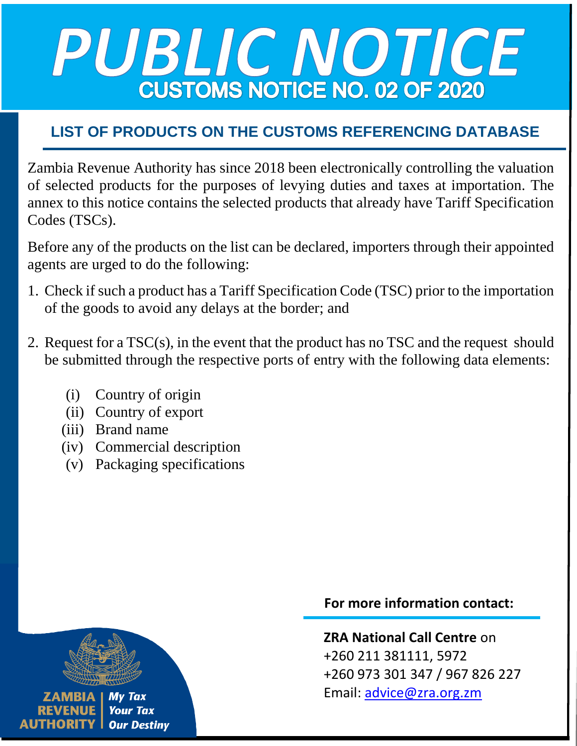# PUBLIC NOTICE **CUSTOMS NOTICE NO. 02 OF 2020**

### **LIST OF PRODUCTS ON THE CUSTOMS REFERENCING DATABASE**

Zambia Revenue Authority has since 2018 been electronically controlling the valuation of selected products for the purposes of levying duties and taxes at importation. The annex to this notice contains the selected products that already have Tariff Specification Codes (TSCs).

Before any of the products on the list can be declared, importers through their appointed agents are urged to do the following:

- 1. Check if such a product has a Tariff Specification Code (TSC) prior to the importation of the goods to avoid any delays at the border; and
- 2. Request for a TSC(s), in the event that the product has no TSC and the request should be submitted through the respective ports of entry with the following data elements:
	- (i) Country of origin
	- (ii) Country of export
	- (iii) Brand name
	- (iv) Commercial description
	- (v) Packaging specifications



#### **For more information contact:**

**ZRA National Call Centre** on +260 211 381111, 5972 +260 973 301 347 / 967 826 227 Email: [advice@zra.org.zm](mailto:advice@zra.org.zm)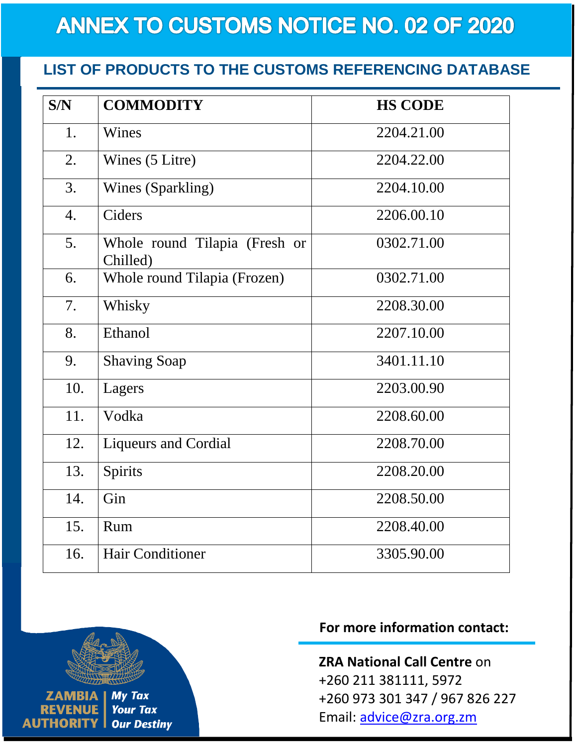## **ANNEX TO CUSTOMS NOTICE NO. 02 OF 2020**

#### **LIST OF PRODUCTS TO THE CUSTOMS REFERENCING DATABASE**

| S/N              | <b>COMMODITY</b>                          | <b>HS CODE</b> |
|------------------|-------------------------------------------|----------------|
| 1.               | Wines                                     | 2204.21.00     |
| 2.               | Wines (5 Litre)                           | 2204.22.00     |
| 3.               | Wines (Sparkling)                         | 2204.10.00     |
| $\overline{4}$ . | Ciders                                    | 2206.00.10     |
| 5.               | Whole round Tilapia (Fresh or<br>Chilled) | 0302.71.00     |
| 6.               | Whole round Tilapia (Frozen)              | 0302.71.00     |
| 7.               | Whisky                                    | 2208.30.00     |
| 8.               | Ethanol                                   | 2207.10.00     |
| 9.               | <b>Shaving Soap</b>                       | 3401.11.10     |
| 10.              | Lagers                                    | 2203.00.90     |
| 11.              | Vodka                                     | 2208.60.00     |
| 12.              | <b>Liqueurs and Cordial</b>               | 2208.70.00     |
| 13.              | Spirits                                   | 2208.20.00     |
| 14.              | Gin                                       | 2208.50.00     |
| 15.              | Rum                                       | 2208.40.00     |
| 16.              | <b>Hair Conditioner</b>                   | 3305.90.00     |



#### **For more information contact:**

**ZRA National Call Centre** on +260 211 381111, 5972 +260 973 301 347 / 967 826 227 Email: [advice@zra.org.zm](mailto:advice@zra.org.zm)